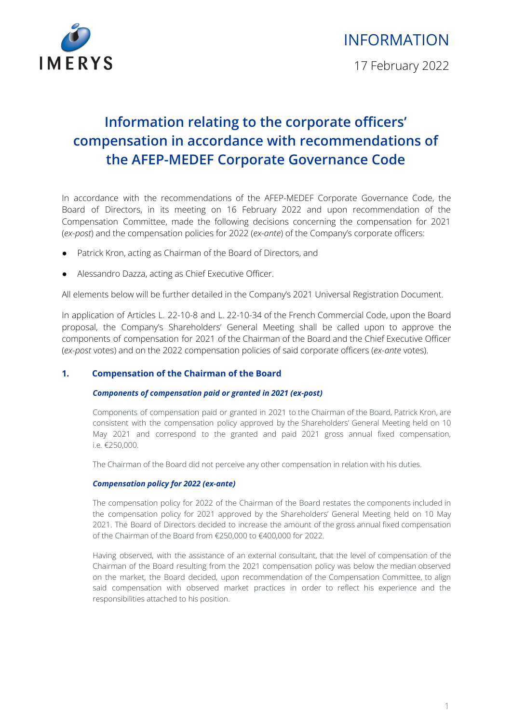

# INFORMATION

17 February 2022

# **Information relating to the corporate officers' compensation in accordance with recommendations of the AFEP-MEDEF Corporate Governance Code**

In accordance with the recommendations of the AFEP-MEDEF Corporate Governance Code, the Board of Directors, in its meeting on 16 February 2022 and upon recommendation of the Compensation Committee, made the following decisions concerning the compensation for 2021 (*ex-post*) and the compensation policies for 2022 (*ex-ante*) of the Company's corporate officers:

- Patrick Kron, acting as Chairman of the Board of Directors, and
- Alessandro Dazza, acting as Chief Executive Officer.

All elements below will be further detailed in the Company's 2021 Universal Registration Document.

In application of Articles L. 22-10-8 and L. 22-10-34 of the French Commercial Code, upon the Board proposal, the Company's Shareholders' General Meeting shall be called upon to approve the components of compensation for 2021 of the Chairman of the Board and the Chief Executive Officer (*ex-post* votes) and on the 2022 compensation policies of said corporate officers (*ex-ante* votes).

## **1. Compensation of the Chairman of the Board**

### *Components of compensation paid or granted in 2021 (ex-post)*

Components of compensation paid or granted in 2021 to the Chairman of the Board, Patrick Kron, are consistent with the compensation policy approved by the Shareholders' General Meeting held on 10 May 2021 and correspond to the granted and paid 2021 gross annual fixed compensation, i.e*.* €250,000.

The Chairman of the Board did not perceive any other compensation in relation with his duties.

#### *Compensation policy for 2022 (ex-ante)*

The compensation policy for 2022 of the Chairman of the Board restates the components included in the compensation policy for 2021 approved by the Shareholders' General Meeting held on 10 May 2021. The Board of Directors decided to increase the amount of the gross annual fixed compensation of the Chairman of the Board from €250,000 to €400,000 for 2022.

Having observed, with the assistance of an external consultant, that the level of compensation of the Chairman of the Board resulting from the 2021 compensation policy was below the median observed on the market, the Board decided, upon recommendation of the Compensation Committee, to align said compensation with observed market practices in order to reflect his experience and the responsibilities attached to his position.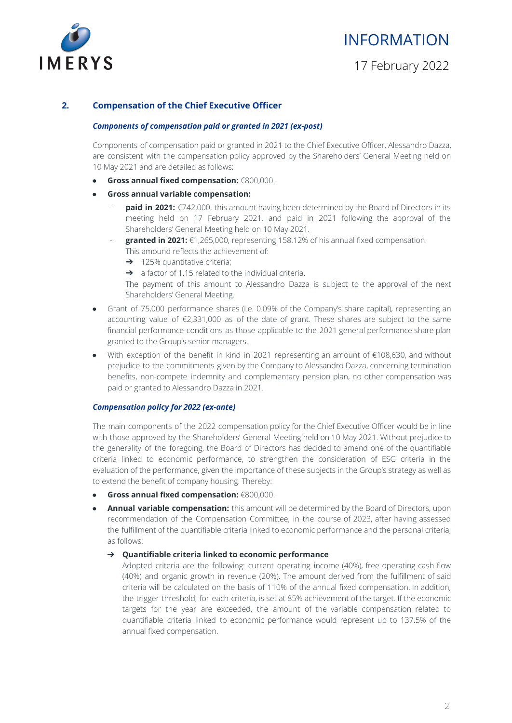

# INFORMATION

17 February 2022

## **2. Compensation of the Chief Executive Officer**

#### *Components of compensation paid or granted in 2021 (ex-post)*

Components of compensation paid or granted in 2021 to the Chief Executive Officer, Alessandro Dazza, are consistent with the compensation policy approved by the Shareholders' General Meeting held on 10 May 2021 and are detailed as follows:

- **Gross annual fixed compensation:** €800,000.
- **● Gross annual variable compensation:**
	- **paid in 2021:** €742,000, this amount having been determined by the Board of Directors in its meeting held on 17 February 2021, and paid in 2021 following the approval of the Shareholders' General Meeting held on 10 May 2021.
	- **granted in 2021:** €1,265,000, representing 158.12% of his annual fixed compensation.
		- This amound reflects the achievement of:
		- → 125% quantitative criteria;
		- ➔ a factor of 1.15 related to the individual criteria.

The payment of this amount to Alessandro Dazza is subject to the approval of the next Shareholders' General Meeting.

- Grant of 75,000 performance shares (i.e. 0.09% of the Company's share capital), representing an accounting value of €2,331,000 as of the date of grant. These shares are subject to the same financial performance conditions as those applicable to the 2021 general performance share plan granted to the Group's senior managers.
- With exception of the benefit in kind in 2021 representing an amount of €108,630, and without prejudice to the commitments given by the Company to Alessandro Dazza, concerning termination benefits, non-compete indemnity and complementary pension plan, no other compensation was paid or granted to Alessandro Dazza in 2021.

#### *Compensation policy for 2022 (ex-ante)*

The main components of the 2022 compensation policy for the Chief Executive Officer would be in line with those approved by the Shareholders' General Meeting held on 10 May 2021. Without prejudice to the generality of the foregoing, the Board of Directors has decided to amend one of the quantifiable criteria linked to economic performance, to strengthen the consideration of ESG criteria in the evaluation of the performance, given the importance of these subjects in the Group's strategy as well as to extend the benefit of company housing. Thereby:

- **Gross annual fixed compensation:** €800,000.
- **Annual variable compensation:** this amount will be determined by the Board of Directors, upon recommendation of the Compensation Committee, in the course of 2023, after having assessed the fulfillment of the quantifiable criteria linked to economic performance and the personal criteria, as follows:

#### ➔ **Quantifiable criteria linked to economic performance**

Adopted criteria are the following: current operating income (40%), free operating cash flow (40%) and organic growth in revenue (20%). The amount derived from the fulfillment of said criteria will be calculated on the basis of 110% of the annual fixed compensation. In addition, the trigger threshold, for each criteria, is set at 85% achievement of the target. If the economic targets for the year are exceeded, the amount of the variable compensation related to quantifiable criteria linked to economic performance would represent up to 137.5% of the annual fixed compensation.